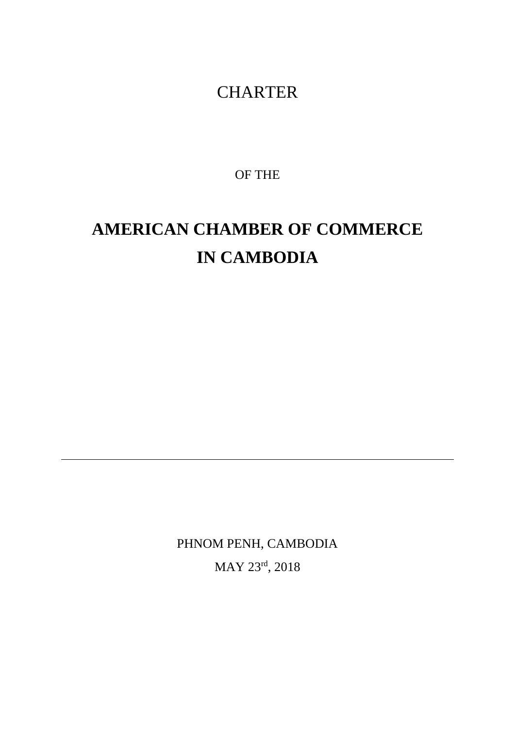## **CHARTER**

OF THE

# **AMERICAN CHAMBER OF COMMERCE IN CAMBODIA**

PHNOM PENH, CAMBODIA MAY 23rd, 2018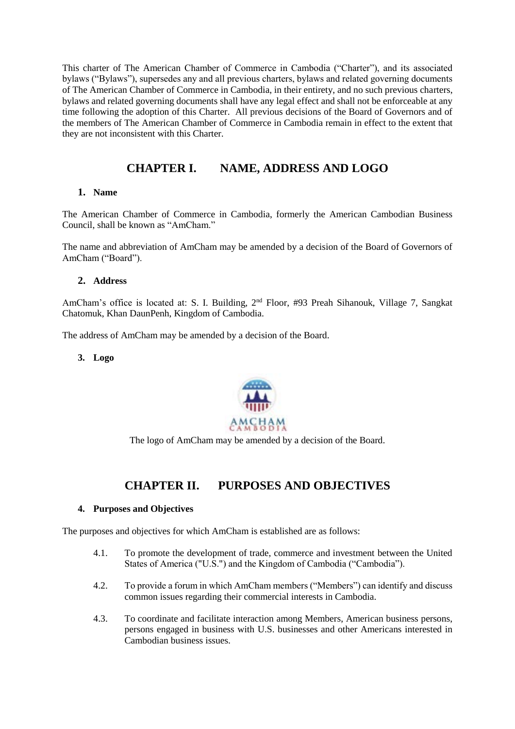This charter of The American Chamber of Commerce in Cambodia ("Charter"), and its associated bylaws ("Bylaws"), supersedes any and all previous charters, bylaws and related governing documents of The American Chamber of Commerce in Cambodia, in their entirety, and no such previous charters, bylaws and related governing documents shall have any legal effect and shall not be enforceable at any time following the adoption of this Charter. All previous decisions of the Board of Governors and of the members of The American Chamber of Commerce in Cambodia remain in effect to the extent that they are not inconsistent with this Charter.

## **CHAPTER I. NAME, ADDRESS AND LOGO**

#### **1. Name**

The American Chamber of Commerce in Cambodia, formerly the American Cambodian Business Council, shall be known as "AmCham."

The name and abbreviation of AmCham may be amended by a decision of the Board of Governors of AmCham ("Board").

#### **2. Address**

AmCham's office is located at: S. I. Building, 2<sup>nd</sup> Floor, #93 Preah Sihanouk, Village 7, Sangkat Chatomuk, Khan DaunPenh, Kingdom of Cambodia.

The address of AmCham may be amended by a decision of the Board.

**3. Logo**



The logo of AmCham may be amended by a decision of the Board.

## **CHAPTER II. PURPOSES AND OBJECTIVES**

#### **4. Purposes and Objectives**

The purposes and objectives for which AmCham is established are as follows:

- 4.1. To promote the development of trade, commerce and investment between the United States of America ("U.S.") and the Kingdom of Cambodia ("Cambodia").
- 4.2. To provide a forum in which AmCham members ("Members") can identify and discuss common issues regarding their commercial interests in Cambodia.
- 4.3. To coordinate and facilitate interaction among Members, American business persons, persons engaged in business with U.S. businesses and other Americans interested in Cambodian business issues.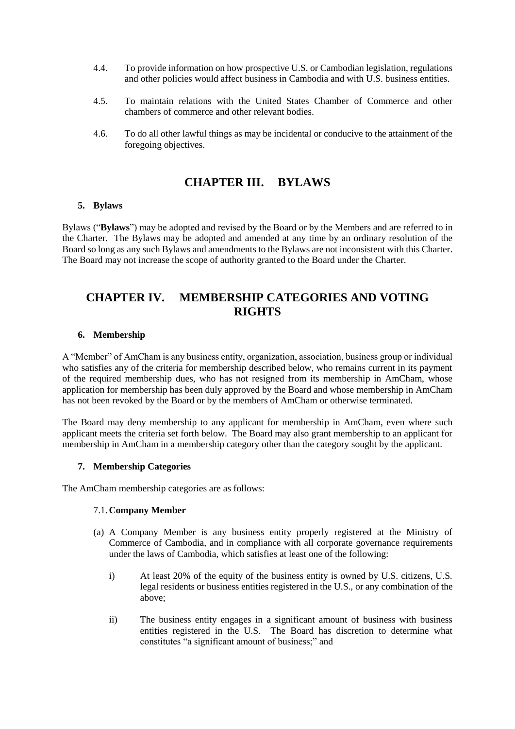- 4.4. To provide information on how prospective U.S. or Cambodian legislation, regulations and other policies would affect business in Cambodia and with U.S. business entities.
- 4.5. To maintain relations with the United States Chamber of Commerce and other chambers of commerce and other relevant bodies.
- 4.6. To do all other lawful things as may be incidental or conducive to the attainment of the foregoing objectives.

## **CHAPTER III. BYLAWS**

#### **5. Bylaws**

Bylaws ("**Bylaws**") may be adopted and revised by the Board or by the Members and are referred to in the Charter. The Bylaws may be adopted and amended at any time by an ordinary resolution of the Board so long as any such Bylaws and amendments to the Bylaws are not inconsistent with this Charter. The Board may not increase the scope of authority granted to the Board under the Charter.

## **CHAPTER IV. MEMBERSHIP CATEGORIES AND VOTING RIGHTS**

#### **6. Membership**

A "Member" of AmCham is any business entity, organization, association, business group or individual who satisfies any of the criteria for membership described below, who remains current in its payment of the required membership dues, who has not resigned from its membership in AmCham, whose application for membership has been duly approved by the Board and whose membership in AmCham has not been revoked by the Board or by the members of AmCham or otherwise terminated.

The Board may deny membership to any applicant for membership in AmCham, even where such applicant meets the criteria set forth below. The Board may also grant membership to an applicant for membership in AmCham in a membership category other than the category sought by the applicant.

#### **7. Membership Categories**

The AmCham membership categories are as follows:

#### 7.1.**Company Member**

- (a) A Company Member is any business entity properly registered at the Ministry of Commerce of Cambodia, and in compliance with all corporate governance requirements under the laws of Cambodia, which satisfies at least one of the following:
	- i) At least 20% of the equity of the business entity is owned by U.S. citizens, U.S. legal residents or business entities registered in the U.S., or any combination of the above;
	- ii) The business entity engages in a significant amount of business with business entities registered in the U.S. The Board has discretion to determine what constitutes "a significant amount of business;" and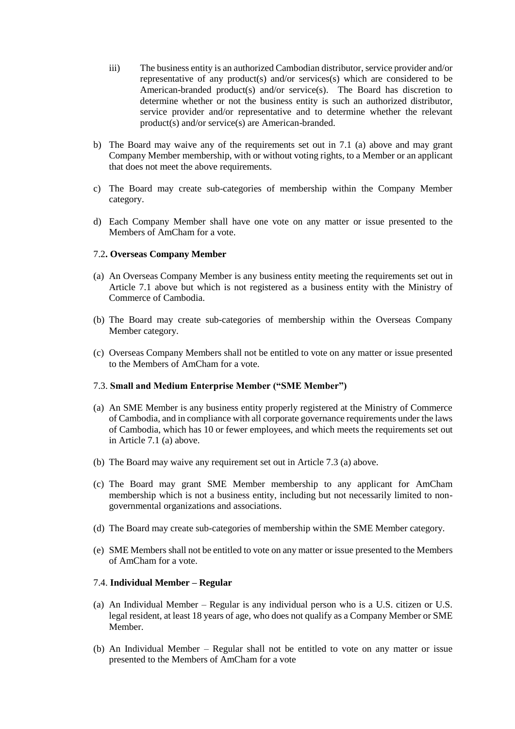- iii) The business entity is an authorized Cambodian distributor, service provider and/or representative of any product(s) and/or services(s) which are considered to be American-branded product(s) and/or service(s). The Board has discretion to determine whether or not the business entity is such an authorized distributor, service provider and/or representative and to determine whether the relevant product(s) and/or service(s) are American-branded.
- b) The Board may waive any of the requirements set out in 7.1 (a) above and may grant Company Member membership, with or without voting rights, to a Member or an applicant that does not meet the above requirements.
- c) The Board may create sub-categories of membership within the Company Member category.
- d) Each Company Member shall have one vote on any matter or issue presented to the Members of AmCham for a vote.

#### 7.2**. Overseas Company Member**

- (a) An Overseas Company Member is any business entity meeting the requirements set out in Article 7.1 above but which is not registered as a business entity with the Ministry of Commerce of Cambodia.
- (b) The Board may create sub-categories of membership within the Overseas Company Member category.
- (c) Overseas Company Members shall not be entitled to vote on any matter or issue presented to the Members of AmCham for a vote.

#### 7.3. **Small and Medium Enterprise Member ("SME Member")**

- (a) An SME Member is any business entity properly registered at the Ministry of Commerce of Cambodia, and in compliance with all corporate governance requirements under the laws of Cambodia, which has 10 or fewer employees, and which meets the requirements set out in Article 7.1 (a) above.
- (b) The Board may waive any requirement set out in Article 7.3 (a) above.
- (c) The Board may grant SME Member membership to any applicant for AmCham membership which is not a business entity, including but not necessarily limited to nongovernmental organizations and associations.
- (d) The Board may create sub-categories of membership within the SME Member category.
- (e) SME Members shall not be entitled to vote on any matter or issue presented to the Members of AmCham for a vote.

#### 7.4. **Individual Member – Regular**

- (a) An Individual Member Regular is any individual person who is a U.S. citizen or U.S. legal resident, at least 18 years of age, who does not qualify as a Company Member or SME Member.
- (b) An Individual Member Regular shall not be entitled to vote on any matter or issue presented to the Members of AmCham for a vote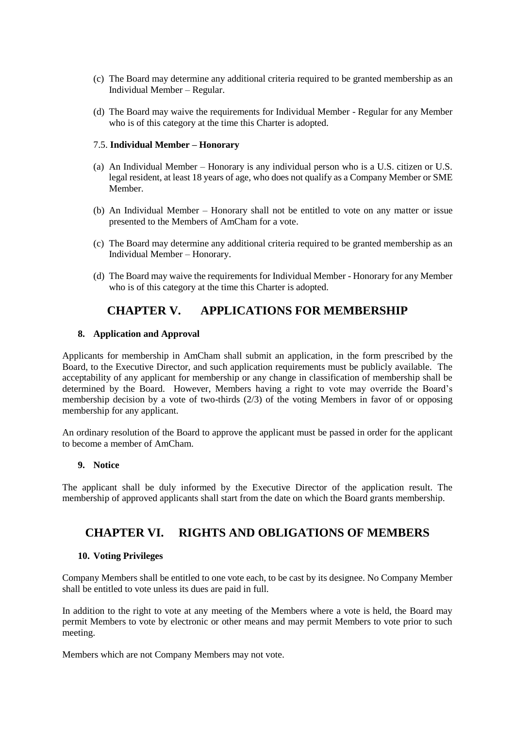- (c) The Board may determine any additional criteria required to be granted membership as an Individual Member – Regular.
- (d) The Board may waive the requirements for Individual Member Regular for any Member who is of this category at the time this Charter is adopted.

#### 7.5. **Individual Member – Honorary**

- (a) An Individual Member Honorary is any individual person who is a U.S. citizen or U.S. legal resident, at least 18 years of age, who does not qualify as a Company Member or SME Member.
- (b) An Individual Member Honorary shall not be entitled to vote on any matter or issue presented to the Members of AmCham for a vote.
- (c) The Board may determine any additional criteria required to be granted membership as an Individual Member – Honorary.
- (d) The Board may waive the requirements for Individual Member Honorary for any Member who is of this category at the time this Charter is adopted.

## **CHAPTER V. APPLICATIONS FOR MEMBERSHIP**

#### **8. Application and Approval**

Applicants for membership in AmCham shall submit an application, in the form prescribed by the Board, to the Executive Director, and such application requirements must be publicly available. The acceptability of any applicant for membership or any change in classification of membership shall be determined by the Board. However, Members having a right to vote may override the Board's membership decision by a vote of two-thirds (2/3) of the voting Members in favor of or opposing membership for any applicant.

An ordinary resolution of the Board to approve the applicant must be passed in order for the applicant to become a member of AmCham.

#### **9. Notice**

The applicant shall be duly informed by the Executive Director of the application result. The membership of approved applicants shall start from the date on which the Board grants membership.

#### **CHAPTER VI. RIGHTS AND OBLIGATIONS OF MEMBERS**

#### **10. Voting Privileges**

Company Members shall be entitled to one vote each, to be cast by its designee. No Company Member shall be entitled to vote unless its dues are paid in full.

In addition to the right to vote at any meeting of the Members where a vote is held, the Board may permit Members to vote by electronic or other means and may permit Members to vote prior to such meeting.

Members which are not Company Members may not vote.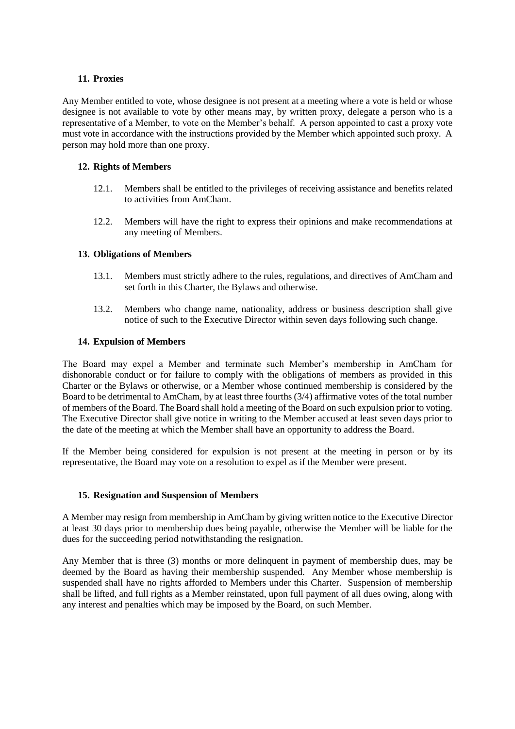#### **11. Proxies**

Any Member entitled to vote, whose designee is not present at a meeting where a vote is held or whose designee is not available to vote by other means may, by written proxy, delegate a person who is a representative of a Member, to vote on the Member's behalf. A person appointed to cast a proxy vote must vote in accordance with the instructions provided by the Member which appointed such proxy. A person may hold more than one proxy.

#### **12. Rights of Members**

- 12.1. Members shall be entitled to the privileges of receiving assistance and benefits related to activities from AmCham.
- 12.2. Members will have the right to express their opinions and make recommendations at any meeting of Members.

#### **13. Obligations of Members**

- 13.1. Members must strictly adhere to the rules, regulations, and directives of AmCham and set forth in this Charter, the Bylaws and otherwise.
- 13.2. Members who change name, nationality, address or business description shall give notice of such to the Executive Director within seven days following such change.

#### **14. Expulsion of Members**

The Board may expel a Member and terminate such Member's membership in AmCham for dishonorable conduct or for failure to comply with the obligations of members as provided in this Charter or the Bylaws or otherwise, or a Member whose continued membership is considered by the Board to be detrimental to AmCham, by at least three fourths (3/4) affirmative votes of the total number of members of the Board. The Board shall hold a meeting of the Board on such expulsion prior to voting. The Executive Director shall give notice in writing to the Member accused at least seven days prior to the date of the meeting at which the Member shall have an opportunity to address the Board.

If the Member being considered for expulsion is not present at the meeting in person or by its representative, the Board may vote on a resolution to expel as if the Member were present.

#### **15. Resignation and Suspension of Members**

A Member may resign from membership in AmCham by giving written notice to the Executive Director at least 30 days prior to membership dues being payable, otherwise the Member will be liable for the dues for the succeeding period notwithstanding the resignation.

Any Member that is three (3) months or more delinquent in payment of membership dues, may be deemed by the Board as having their membership suspended. Any Member whose membership is suspended shall have no rights afforded to Members under this Charter. Suspension of membership shall be lifted, and full rights as a Member reinstated, upon full payment of all dues owing, along with any interest and penalties which may be imposed by the Board, on such Member.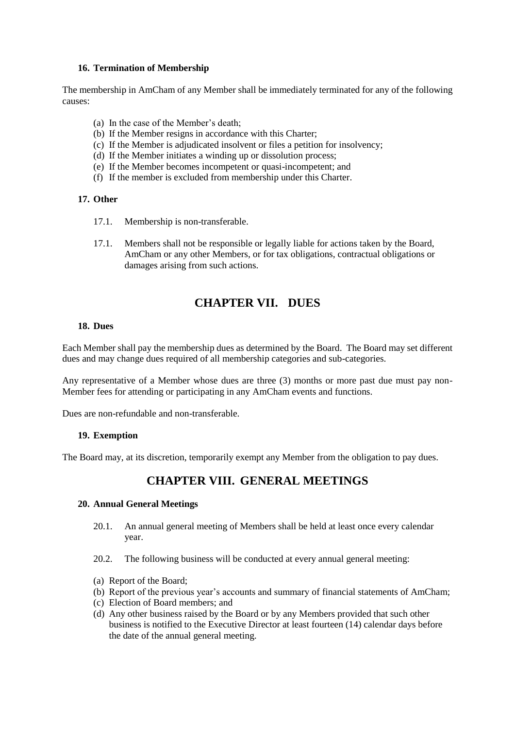#### **16. Termination of Membership**

The membership in AmCham of any Member shall be immediately terminated for any of the following causes:

- (a) In the case of the Member's death;
- (b) If the Member resigns in accordance with this Charter;
- (c) If the Member is adjudicated insolvent or files a petition for insolvency;
- (d) If the Member initiates a winding up or dissolution process;
- (e) If the Member becomes incompetent or quasi-incompetent; and
- (f) If the member is excluded from membership under this Charter.

#### **17. Other**

- 17.1. Membership is non-transferable.
- 17.1. Members shall not be responsible or legally liable for actions taken by the Board, AmCham or any other Members, or for tax obligations, contractual obligations or damages arising from such actions.

## **CHAPTER VII. DUES**

#### **18. Dues**

Each Member shall pay the membership dues as determined by the Board. The Board may set different dues and may change dues required of all membership categories and sub-categories.

Any representative of a Member whose dues are three (3) months or more past due must pay non-Member fees for attending or participating in any AmCham events and functions.

Dues are non-refundable and non-transferable.

#### **19. Exemption**

The Board may, at its discretion, temporarily exempt any Member from the obligation to pay dues.

## **CHAPTER VIII. GENERAL MEETINGS**

#### **20. Annual General Meetings**

- 20.1. An annual general meeting of Members shall be held at least once every calendar year.
- 20.2. The following business will be conducted at every annual general meeting:
- (a) Report of the Board;
- (b) Report of the previous year's accounts and summary of financial statements of AmCham;
- (c) Election of Board members; and
- (d) Any other business raised by the Board or by any Members provided that such other business is notified to the Executive Director at least fourteen (14) calendar days before the date of the annual general meeting.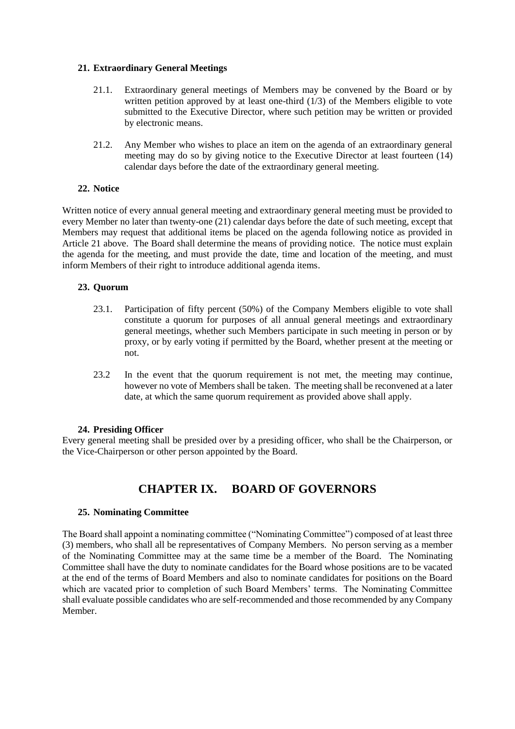#### **21. Extraordinary General Meetings**

- 21.1. Extraordinary general meetings of Members may be convened by the Board or by written petition approved by at least one-third  $(1/3)$  of the Members eligible to vote submitted to the Executive Director, where such petition may be written or provided by electronic means.
- 21.2. Any Member who wishes to place an item on the agenda of an extraordinary general meeting may do so by giving notice to the Executive Director at least fourteen (14) calendar days before the date of the extraordinary general meeting.

#### **22. Notice**

Written notice of every annual general meeting and extraordinary general meeting must be provided to every Member no later than twenty-one (21) calendar days before the date of such meeting, except that Members may request that additional items be placed on the agenda following notice as provided in Article 21 above. The Board shall determine the means of providing notice. The notice must explain the agenda for the meeting, and must provide the date, time and location of the meeting, and must inform Members of their right to introduce additional agenda items.

#### **23. Quorum**

- 23.1. Participation of fifty percent (50%) of the Company Members eligible to vote shall constitute a quorum for purposes of all annual general meetings and extraordinary general meetings, whether such Members participate in such meeting in person or by proxy, or by early voting if permitted by the Board, whether present at the meeting or not.
- 23.2 In the event that the quorum requirement is not met, the meeting may continue, however no vote of Members shall be taken. The meeting shall be reconvened at a later date, at which the same quorum requirement as provided above shall apply.

#### **24. Presiding Officer**

Every general meeting shall be presided over by a presiding officer, who shall be the Chairperson, or the Vice-Chairperson or other person appointed by the Board.

## **CHAPTER IX. BOARD OF GOVERNORS**

#### **25. Nominating Committee**

The Board shall appoint a nominating committee ("Nominating Committee") composed of at least three (3) members, who shall all be representatives of Company Members. No person serving as a member of the Nominating Committee may at the same time be a member of the Board. The Nominating Committee shall have the duty to nominate candidates for the Board whose positions are to be vacated at the end of the terms of Board Members and also to nominate candidates for positions on the Board which are vacated prior to completion of such Board Members' terms. The Nominating Committee shall evaluate possible candidates who are self-recommended and those recommended by any Company Member.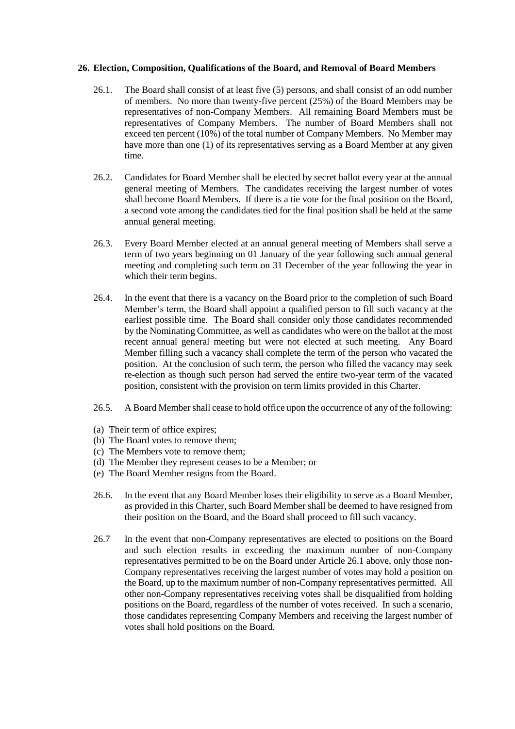#### **26. Election, Composition, Qualifications of the Board, and Removal of Board Members**

- 26.1. The Board shall consist of at least five (5) persons, and shall consist of an odd number of members. No more than twenty-five percent (25%) of the Board Members may be representatives of non-Company Members. All remaining Board Members must be representatives of Company Members. The number of Board Members shall not exceed ten percent (10%) of the total number of Company Members. No Member may have more than one (1) of its representatives serving as a Board Member at any given time.
- 26.2. Candidates for Board Member shall be elected by secret ballot every year at the annual general meeting of Members. The candidates receiving the largest number of votes shall become Board Members. If there is a tie vote for the final position on the Board, a second vote among the candidates tied for the final position shall be held at the same annual general meeting.
- 26.3. Every Board Member elected at an annual general meeting of Members shall serve a term of two years beginning on 01 January of the year following such annual general meeting and completing such term on 31 December of the year following the year in which their term begins.
- 26.4. In the event that there is a vacancy on the Board prior to the completion of such Board Member's term, the Board shall appoint a qualified person to fill such vacancy at the earliest possible time. The Board shall consider only those candidates recommended by the Nominating Committee, as well as candidates who were on the ballot at the most recent annual general meeting but were not elected at such meeting. Any Board Member filling such a vacancy shall complete the term of the person who vacated the position. At the conclusion of such term, the person who filled the vacancy may seek re-election as though such person had served the entire two-year term of the vacated position, consistent with the provision on term limits provided in this Charter.
- 26.5. A Board Member shall cease to hold office upon the occurrence of any of the following:
- (a) Their term of office expires;
- (b) The Board votes to remove them;
- (c) The Members vote to remove them;
- (d) The Member they represent ceases to be a Member; or
- (e) The Board Member resigns from the Board.
- 26.6. In the event that any Board Member loses their eligibility to serve as a Board Member, as provided in this Charter, such Board Member shall be deemed to have resigned from their position on the Board, and the Board shall proceed to fill such vacancy.
- 26.7 In the event that non-Company representatives are elected to positions on the Board and such election results in exceeding the maximum number of non-Company representatives permitted to be on the Board under Article 26.1 above, only those non-Company representatives receiving the largest number of votes may hold a position on the Board, up to the maximum number of non-Company representatives permitted. All other non-Company representatives receiving votes shall be disqualified from holding positions on the Board, regardless of the number of votes received. In such a scenario, those candidates representing Company Members and receiving the largest number of votes shall hold positions on the Board.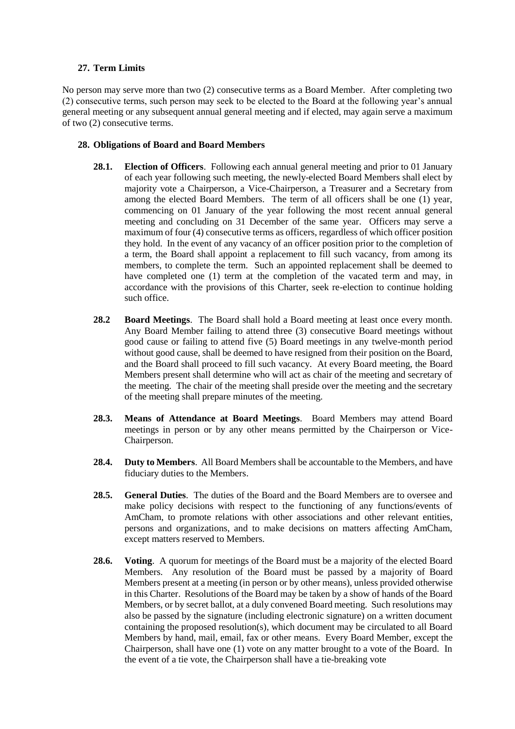#### **27. Term Limits**

No person may serve more than two (2) consecutive terms as a Board Member. After completing two (2) consecutive terms, such person may seek to be elected to the Board at the following year's annual general meeting or any subsequent annual general meeting and if elected, may again serve a maximum of two (2) consecutive terms.

#### **28. Obligations of Board and Board Members**

- **28.1. Election of Officers**. Following each annual general meeting and prior to 01 January of each year following such meeting, the newly-elected Board Members shall elect by majority vote a Chairperson, a Vice-Chairperson, a Treasurer and a Secretary from among the elected Board Members. The term of all officers shall be one (1) year, commencing on 01 January of the year following the most recent annual general meeting and concluding on 31 December of the same year. Officers may serve a maximum of four (4) consecutive terms as officers, regardless of which officer position they hold. In the event of any vacancy of an officer position prior to the completion of a term, the Board shall appoint a replacement to fill such vacancy, from among its members, to complete the term. Such an appointed replacement shall be deemed to have completed one (1) term at the completion of the vacated term and may, in accordance with the provisions of this Charter, seek re-election to continue holding such office.
- **28.2 Board Meetings**. The Board shall hold a Board meeting at least once every month. Any Board Member failing to attend three (3) consecutive Board meetings without good cause or failing to attend five (5) Board meetings in any twelve-month period without good cause, shall be deemed to have resigned from their position on the Board, and the Board shall proceed to fill such vacancy. At every Board meeting, the Board Members present shall determine who will act as chair of the meeting and secretary of the meeting. The chair of the meeting shall preside over the meeting and the secretary of the meeting shall prepare minutes of the meeting.
- **28.3. Means of Attendance at Board Meetings**. Board Members may attend Board meetings in person or by any other means permitted by the Chairperson or Vice-Chairperson.
- **28.4. Duty to Members**. All Board Members shall be accountable to the Members, and have fiduciary duties to the Members.
- **28.5. General Duties**. The duties of the Board and the Board Members are to oversee and make policy decisions with respect to the functioning of any functions/events of AmCham, to promote relations with other associations and other relevant entities, persons and organizations, and to make decisions on matters affecting AmCham, except matters reserved to Members.
- **28.6. Voting**. A quorum for meetings of the Board must be a majority of the elected Board Members. Any resolution of the Board must be passed by a majority of Board Members present at a meeting (in person or by other means), unless provided otherwise in this Charter. Resolutions of the Board may be taken by a show of hands of the Board Members, or by secret ballot, at a duly convened Board meeting. Such resolutions may also be passed by the signature (including electronic signature) on a written document containing the proposed resolution(s), which document may be circulated to all Board Members by hand, mail, email, fax or other means. Every Board Member, except the Chairperson, shall have one (1) vote on any matter brought to a vote of the Board. In the event of a tie vote, the Chairperson shall have a tie-breaking vote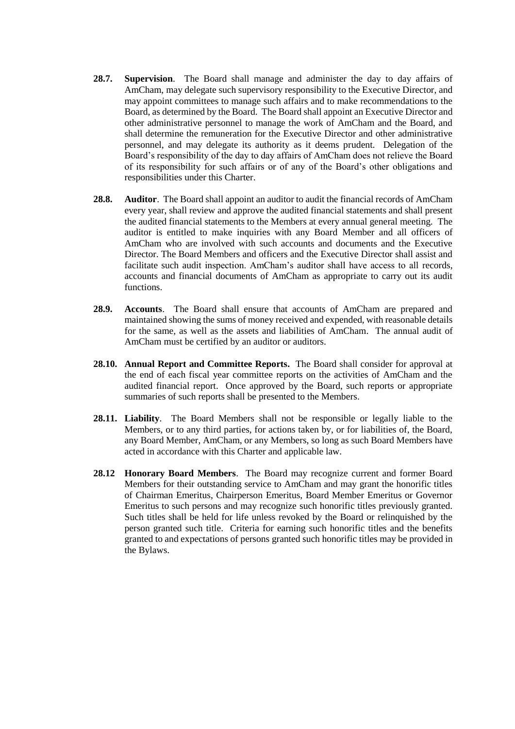- **28.7. Supervision**. The Board shall manage and administer the day to day affairs of AmCham, may delegate such supervisory responsibility to the Executive Director, and may appoint committees to manage such affairs and to make recommendations to the Board, as determined by the Board. The Board shall appoint an Executive Director and other administrative personnel to manage the work of AmCham and the Board, and shall determine the remuneration for the Executive Director and other administrative personnel, and may delegate its authority as it deems prudent. Delegation of the Board's responsibility of the day to day affairs of AmCham does not relieve the Board of its responsibility for such affairs or of any of the Board's other obligations and responsibilities under this Charter.
- **28.8. Auditor**. The Board shall appoint an auditor to audit the financial records of AmCham every year, shall review and approve the audited financial statements and shall present the audited financial statements to the Members at every annual general meeting. The auditor is entitled to make inquiries with any Board Member and all officers of AmCham who are involved with such accounts and documents and the Executive Director. The Board Members and officers and the Executive Director shall assist and facilitate such audit inspection. AmCham's auditor shall have access to all records, accounts and financial documents of AmCham as appropriate to carry out its audit functions.
- **28.9. Accounts**. The Board shall ensure that accounts of AmCham are prepared and maintained showing the sums of money received and expended, with reasonable details for the same, as well as the assets and liabilities of AmCham. The annual audit of AmCham must be certified by an auditor or auditors.
- **28.10. Annual Report and Committee Reports.** The Board shall consider for approval at the end of each fiscal year committee reports on the activities of AmCham and the audited financial report. Once approved by the Board, such reports or appropriate summaries of such reports shall be presented to the Members.
- **28.11. Liability**. The Board Members shall not be responsible or legally liable to the Members, or to any third parties, for actions taken by, or for liabilities of, the Board, any Board Member, AmCham, or any Members, so long as such Board Members have acted in accordance with this Charter and applicable law.
- **28.12 Honorary Board Members**. The Board may recognize current and former Board Members for their outstanding service to AmCham and may grant the honorific titles of Chairman Emeritus, Chairperson Emeritus, Board Member Emeritus or Governor Emeritus to such persons and may recognize such honorific titles previously granted. Such titles shall be held for life unless revoked by the Board or relinquished by the person granted such title. Criteria for earning such honorific titles and the benefits granted to and expectations of persons granted such honorific titles may be provided in the Bylaws.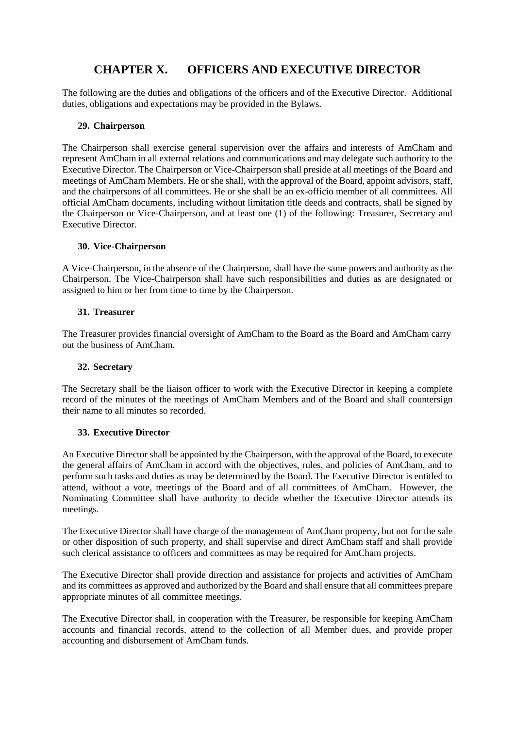## **CHAPTER X. OFFICERS AND EXECUTIVE DIRECTOR**

The following are the duties and obligations of the officers and of the Executive Director. Additional duties, obligations and expectations may be provided in the Bylaws.

#### **29. Chairperson**

The Chairperson shall exercise general supervision over the affairs and interests of AmCham and represent AmCham in all external relations and communications and may delegate such authority to the Executive Director. The Chairperson or Vice-Chairperson shall preside at all meetings of the Board and meetings of AmCham Members. He or she shall, with the approval of the Board, appoint advisors, staff, and the chairpersons of all committees. He or she shall be an ex-officio member of all committees. All official AmCham documents, including without limitation title deeds and contracts, shall be signed by the Chairperson or Vice-Chairperson, and at least one (1) of the following: Treasurer, Secretary and Executive Director.

#### **30. Vice-Chairperson**

A Vice-Chairperson, in the absence of the Chairperson, shall have the same powers and authority as the Chairperson. The Vice-Chairperson shall have such responsibilities and duties as are designated or assigned to him or her from time to time by the Chairperson.

#### **31. Treasurer**

The Treasurer provides financial oversight of AmCham to the Board as the Board and AmCham carry out the business of AmCham.

#### **32. Secretary**

The Secretary shall be the liaison officer to work with the Executive Director in keeping a complete record of the minutes of the meetings of AmCham Members and of the Board and shall countersign their name to all minutes so recorded.

#### **33. Executive Director**

An Executive Director shall be appointed by the Chairperson, with the approval of the Board, to execute the general affairs of AmCham in accord with the objectives, rules, and policies of AmCham, and to perform such tasks and duties as may be determined by the Board. The Executive Director is entitled to attend, without a vote, meetings of the Board and of all committees of AmCham. However, the Nominating Committee shall have authority to decide whether the Executive Director attends its meetings.

The Executive Director shall have charge of the management of AmCham property, but not for the sale or other disposition of such property, and shall supervise and direct AmCham staff and shall provide such clerical assistance to officers and committees as may be required for AmCham projects.

The Executive Director shall provide direction and assistance for projects and activities of AmCham and its committees as approved and authorized by the Board and shall ensure that all committees prepare appropriate minutes of all committee meetings.

The Executive Director shall, in cooperation with the Treasurer, be responsible for keeping AmCham accounts and financial records, attend to the collection of all Member dues, and provide proper accounting and disbursement of AmCham funds.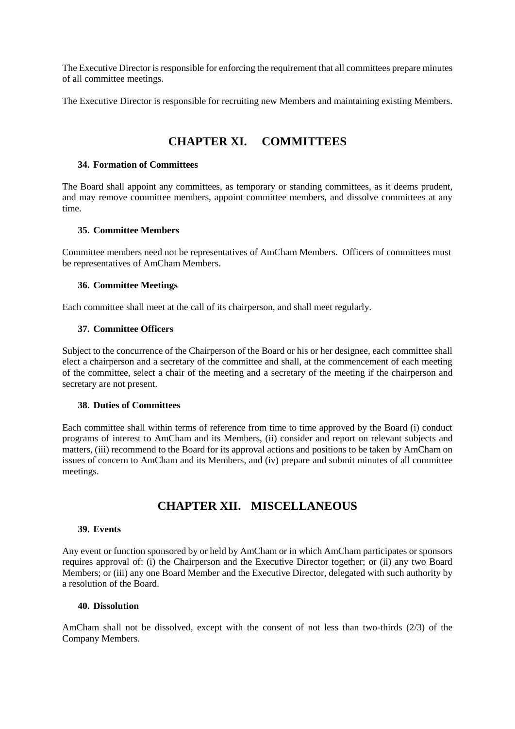The Executive Director is responsible for enforcing the requirement that all committees prepare minutes of all committee meetings.

The Executive Director is responsible for recruiting new Members and maintaining existing Members.

## **CHAPTER XI. COMMITTEES**

#### **34. Formation of Committees**

The Board shall appoint any committees, as temporary or standing committees, as it deems prudent, and may remove committee members, appoint committee members, and dissolve committees at any time.

#### **35. Committee Members**

Committee members need not be representatives of AmCham Members. Officers of committees must be representatives of AmCham Members.

#### **36. Committee Meetings**

Each committee shall meet at the call of its chairperson, and shall meet regularly.

#### **37. Committee Officers**

Subject to the concurrence of the Chairperson of the Board or his or her designee, each committee shall elect a chairperson and a secretary of the committee and shall, at the commencement of each meeting of the committee, select a chair of the meeting and a secretary of the meeting if the chairperson and secretary are not present.

#### **38. Duties of Committees**

Each committee shall within terms of reference from time to time approved by the Board (i) conduct programs of interest to AmCham and its Members, (ii) consider and report on relevant subjects and matters, (iii) recommend to the Board for its approval actions and positions to be taken by AmCham on issues of concern to AmCham and its Members, and (iv) prepare and submit minutes of all committee meetings.

## **CHAPTER XII. MISCELLANEOUS**

#### **39. Events**

Any event or function sponsored by or held by AmCham or in which AmCham participates or sponsors requires approval of: (i) the Chairperson and the Executive Director together; or (ii) any two Board Members; or (iii) any one Board Member and the Executive Director, delegated with such authority by a resolution of the Board.

#### **40. Dissolution**

AmCham shall not be dissolved, except with the consent of not less than two-thirds (2/3) of the Company Members.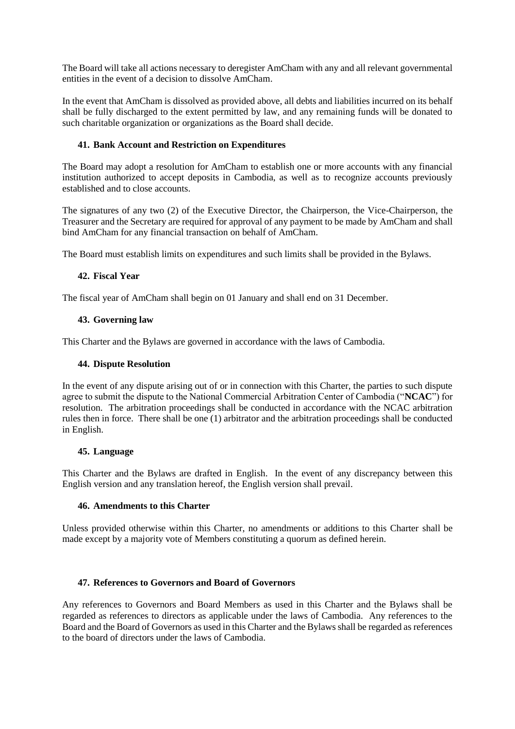The Board will take all actions necessary to deregister AmCham with any and all relevant governmental entities in the event of a decision to dissolve AmCham.

In the event that AmCham is dissolved as provided above, all debts and liabilities incurred on its behalf shall be fully discharged to the extent permitted by law, and any remaining funds will be donated to such charitable organization or organizations as the Board shall decide.

#### **41. Bank Account and Restriction on Expenditures**

The Board may adopt a resolution for AmCham to establish one or more accounts with any financial institution authorized to accept deposits in Cambodia, as well as to recognize accounts previously established and to close accounts.

The signatures of any two (2) of the Executive Director, the Chairperson, the Vice-Chairperson, the Treasurer and the Secretary are required for approval of any payment to be made by AmCham and shall bind AmCham for any financial transaction on behalf of AmCham.

The Board must establish limits on expenditures and such limits shall be provided in the Bylaws.

#### **42. Fiscal Year**

The fiscal year of AmCham shall begin on 01 January and shall end on 31 December.

#### **43. Governing law**

This Charter and the Bylaws are governed in accordance with the laws of Cambodia.

#### **44. Dispute Resolution**

In the event of any dispute arising out of or in connection with this Charter, the parties to such dispute agree to submit the dispute to the National Commercial Arbitration Center of Cambodia ("**NCAC**") for resolution. The arbitration proceedings shall be conducted in accordance with the NCAC arbitration rules then in force. There shall be one (1) arbitrator and the arbitration proceedings shall be conducted in English.

#### **45. Language**

This Charter and the Bylaws are drafted in English. In the event of any discrepancy between this English version and any translation hereof, the English version shall prevail.

#### **46. Amendments to this Charter**

Unless provided otherwise within this Charter, no amendments or additions to this Charter shall be made except by a majority vote of Members constituting a quorum as defined herein.

#### **47. References to Governors and Board of Governors**

Any references to Governors and Board Members as used in this Charter and the Bylaws shall be regarded as references to directors as applicable under the laws of Cambodia. Any references to the Board and the Board of Governors as used in this Charter and the Bylaws shall be regarded as references to the board of directors under the laws of Cambodia.